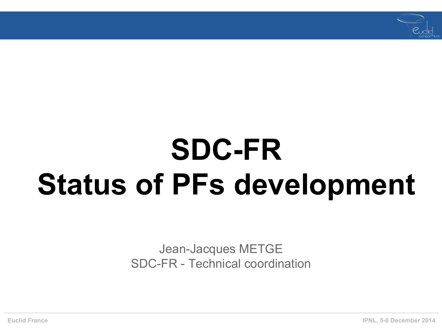

# **SDC-FR Status of PFs development**

Jean-Jacques METGE SDC-FR - Technical coordination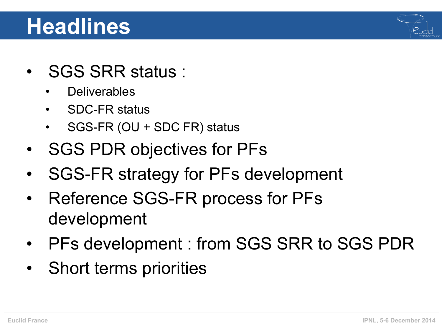### **Headlines**



- SGS SRR status :
	- Deliverables
	- SDC-FR status
	- SGS-FR (OU + SDC FR) status
- SGS PDR objectives for PFs
- SGS-FR strategy for PFs development
- Reference SGS-FR process for PFs development
- PFs development : from SGS SRR to SGS PDR
- Short terms priorities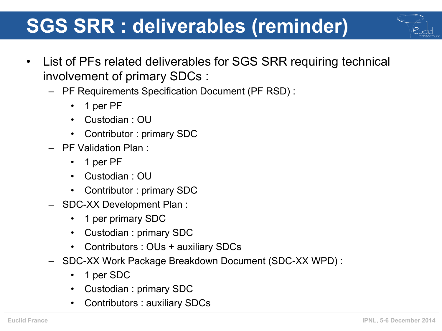#### **SGS SRR : deliverables (reminder)**

- List of PFs related deliverables for SGS SRR requiring technical involvement of primary SDCs :
	- PF Requirements Specification Document (PF RSD) :
		- 1 per PF
		- Custodian : OU
		- Contributor : primary SDC
	- PF Validation Plan :
		- 1 per PF
		- Custodian : OU
		- Contributor : primary SDC
	- SDC-XX Development Plan :
		- 1 per primary SDC
		- Custodian : primary SDC
		- Contributors : OUs + auxiliary SDCs
	- SDC-XX Work Package Breakdown Document (SDC-XX WPD) :
		- 1 per SDC
		- Custodian : primary SDC
		- Contributors : auxiliary SDCs

eudid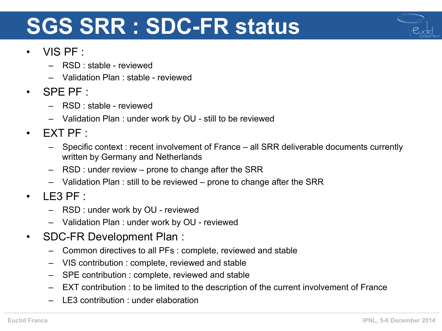# **SGS SRR : SDC-FR status**



#### • VIS PF :

- RSD : stable reviewed
- Validation Plan : stable reviewed
- SPE PF :
	- RSD : stable reviewed
	- Validation Plan : under work by OU still to be reviewed
- $\cdot$  FXT PF  $\cdot$ 
	- Specific context : recent involvement of France all SRR deliverable documents currently written by Germany and Netherlands
	- RSD : under review prone to change after the SRR
	- Validation Plan : still to be reviewed prone to change after the SRR
- $\cdot$  LE3 PF :
	- RSD : under work by OU reviewed
	- Validation Plan : under work by OU reviewed
- SDC-FR Development Plan :
	- Common directives to all PFs : complete, reviewed and stable
	- VIS contribution : complete, reviewed and stable
	- SPE contribution : complete, reviewed and stable
	- EXT contribution : to be limited to the description of the current involvement of France
	- LE3 contribution : under elaboration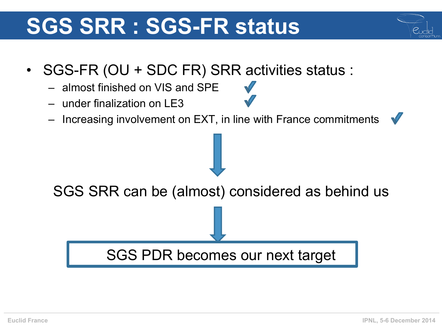# **SGS SRR : SGS-FR status**

 $P_{\omega}$ clic

- SGS-FR (OU + SDC FR) SRR activities status :
	- almost finished on VIS and SPE
	- under finalization on LE3
	- Increasing involvement on EXT, in line with France commitments

SGS SRR can be (almost) considered as behind us

#### SGS PDR becomes our next target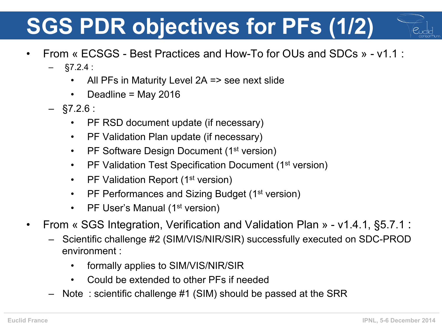# **SGS PDR objectives for PFs (1/2)**



- From « ECSGS Best Practices and How-To for OUs and SDCs » v1.1 :
	- $\S7.2.4$  :
		- All PFs in Maturity Level 2A => see next slide
		- Deadline = May 2016
	- $-$  §7.2.6 :
		- PF RSD document update (if necessary)
		- PF Validation Plan update (if necessary)
		- PF Software Design Document (1<sup>st</sup> version)
		- PF Validation Test Specification Document (1<sup>st</sup> version)
		- PF Validation Report (1<sup>st</sup> version)
		- PF Performances and Sizing Budget (1<sup>st</sup> version)
		- PF User's Manual (1<sup>st</sup> version)
- From « SGS Integration, Verification and Validation Plan » v1.4.1, §5.7.1 :
	- Scientific challenge #2 (SIM/VIS/NIR/SIR) successfully executed on SDC-PROD environment :
		- formally applies to SIM/VIS/NIR/SIR
		- Could be extended to other PFs if needed
	- Note : scientific challenge #1 (SIM) should be passed at the SRR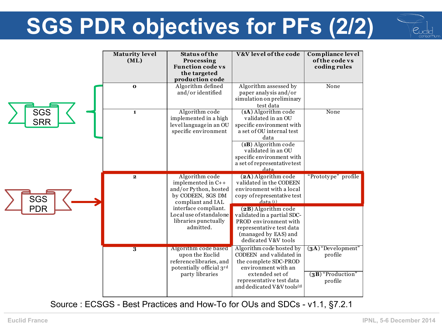# **SGS PDR objectives for PFs (2/2)**



|                          | <b>Maturity level</b><br>(ML) | <b>Status of the</b><br>Processing<br><b>Function code vs</b><br>the targeted<br>production code                                                                                                | V&V level of the code                                                                                                                                                                                                                                                                        | Compliance level<br>of the code vs<br>coding rules                |
|--------------------------|-------------------------------|-------------------------------------------------------------------------------------------------------------------------------------------------------------------------------------------------|----------------------------------------------------------------------------------------------------------------------------------------------------------------------------------------------------------------------------------------------------------------------------------------------|-------------------------------------------------------------------|
|                          | $\mathbf{o}$                  | Algorithm defined<br>and/or identified                                                                                                                                                          | Algorithm assessed by<br>paper analysis and/or<br>simulation on preliminary<br>test data                                                                                                                                                                                                     | None                                                              |
| <b>SGS</b><br><b>SRR</b> | $\mathbf{1}$                  | Algorithm code<br>implemented in a high<br>level language in an OU<br>specific environment                                                                                                      | (1A) Algorithm code<br>validated in an OU<br>specific environment with<br>a set of OU internal test<br>data<br>(1B) Algorithm code<br>validated in an OU<br>specific environment with<br>a set of representative test<br>data                                                                | None                                                              |
| <b>SGS</b><br><b>PDR</b> | $\overline{\mathbf{2}}$       | Algorithm code<br>implemented in C++<br>and/or Python, hosted<br>by CODEEN, SGS DM<br>compliant and IAL<br>interface compliant.<br>Local use of standalone<br>libraries punctually<br>admitted. | $(2A)$ Algorithm code<br>validated in the CODEEN<br>environment with a local<br>copy of representative test<br>$\bar{d}$ ata $(1)$<br>(2B) Algorithm code<br>validated in a partial SDC-<br>PROD environment with<br>representative test data<br>(managed by EAS) and<br>dedicated V&V tools | "Prototype" profile                                               |
|                          | $\overline{\mathbf{3}}$       | Algorithm code based<br>upon the Euclid<br>referencelibraries, and<br>potentially official 3rd<br>party libraries                                                                               | Algorithm code hosted by<br>CODEEN and validated in<br>the complete SDC-PROD<br>environment with an<br>extended set of<br>representative test data<br>and dedicated V&V tools <sup>(2)</sup>                                                                                                 | $(3A)$ "Development"<br>profile<br>$(3B)$ "Production"<br>profile |

Source : ECSGS - Best Practices and How-To for OUs and SDCs - v1.1, §7.2.1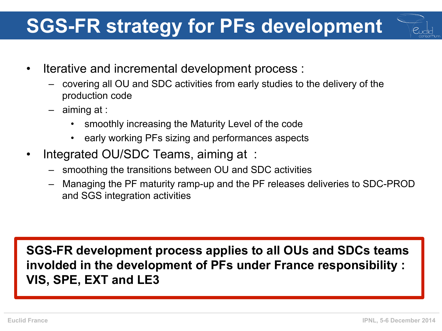### **SGS-FR strategy for PFs development**

- Iterative and incremental development process :
	- covering all OU and SDC activities from early studies to the delivery of the production code
	- aiming at :
		- smoothly increasing the Maturity Level of the code
		- early working PFs sizing and performances aspects
- Integrated OU/SDC Teams, aiming at :
	- smoothing the transitions between OU and SDC activities
	- Managing the PF maturity ramp-up and the PF releases deliveries to SDC-PROD and SGS integration activities

**SGS-FR development process applies to all OUs and SDCs teams involded in the development of PFs under France responsibility : VIS, SPE, EXT and LE3**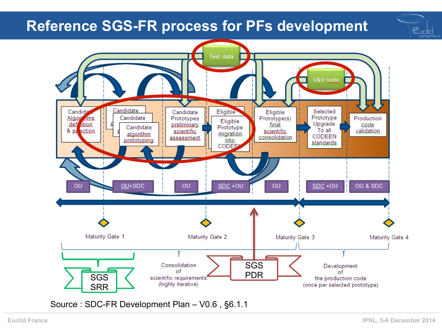#### **Reference SGS-FR process for PFs development**



Source : SDC-FR Development Plan – V0.6 , §6.1.1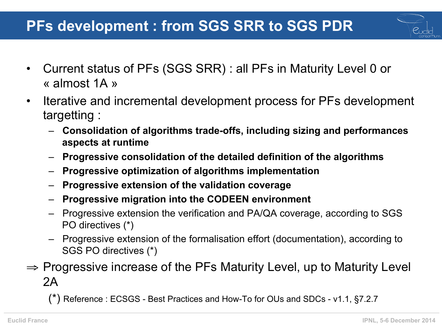#### **PFs development : from SGS SRR to SGS PDR**

- Current status of PFs (SGS SRR) : all PFs in Maturity Level 0 or « almost 1A »
- Iterative and incremental development process for PFs development targetting :
	- **Consolidation of algorithms trade-offs, including sizing and performances aspects at runtime**
	- **Progressive consolidation of the detailed definition of the algorithms**
	- **Progressive optimization of algorithms implementation**
	- **Progressive extension of the validation coverage**
	- **Progressive migration into the CODEEN environment**
	- Progressive extension the verification and PA/QA coverage, according to SGS PO directives (\*)
	- Progressive extension of the formalisation effort (documentation), according to SGS PO directives (\*)
- ⇒ Progressive increase of the PFs Maturity Level, up to Maturity Level 2A

(\*) Reference : ECSGS - Best Practices and How-To for OUs and SDCs - v1.1, §7.2.7

Cudid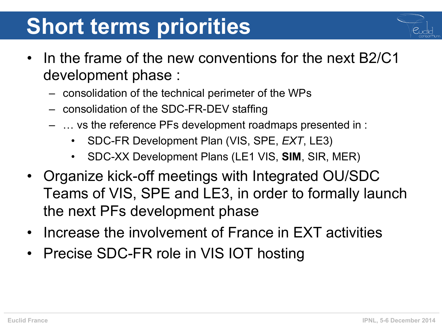## **Short terms priorities**

- In the frame of the new conventions for the next B2/C1 development phase :
	- consolidation of the technical perimeter of the WPs
	- consolidation of the SDC-FR-DEV staffing
	- … vs the reference PFs development roadmaps presented in :
		- SDC-FR Development Plan (VIS, SPE, *EXT*, LE3)
		- SDC-XX Development Plans (LE1 VIS, **SIM**, SIR, MER)
- Organize kick-off meetings with Integrated OU/SDC Teams of VIS, SPE and LE3, in order to formally launch the next PFs development phase
- Increase the involvement of France in EXT activities
- Precise SDC-FR role in VIS IOT hosting